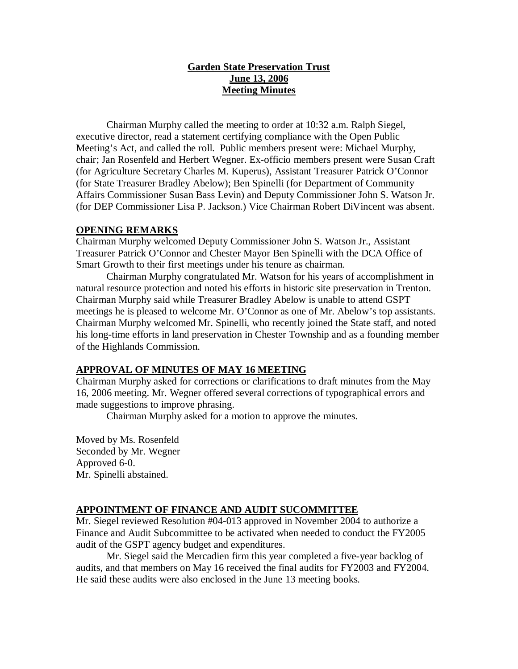## **Garden State Preservation Trust June 13, 2006 Meeting Minutes**

Chairman Murphy called the meeting to order at 10:32 a.m. Ralph Siegel, executive director, read a statement certifying compliance with the Open Public Meeting's Act, and called the roll. Public members present were: Michael Murphy, chair; Jan Rosenfeld and Herbert Wegner. Ex-officio members present were Susan Craft (for Agriculture Secretary Charles M. Kuperus), Assistant Treasurer Patrick O'Connor (for State Treasurer Bradley Abelow); Ben Spinelli (for Department of Community Affairs Commissioner Susan Bass Levin) and Deputy Commissioner John S. Watson Jr. (for DEP Commissioner Lisa P. Jackson.) Vice Chairman Robert DiVincent was absent.

#### **OPENING REMARKS**

Chairman Murphy welcomed Deputy Commissioner John S. Watson Jr., Assistant Treasurer Patrick O'Connor and Chester Mayor Ben Spinelli with the DCA Office of Smart Growth to their first meetings under his tenure as chairman.

Chairman Murphy congratulated Mr. Watson for his years of accomplishment in natural resource protection and noted his efforts in historic site preservation in Trenton. Chairman Murphy said while Treasurer Bradley Abelow is unable to attend GSPT meetings he is pleased to welcome Mr. O'Connor as one of Mr. Abelow's top assistants. Chairman Murphy welcomed Mr. Spinelli, who recently joined the State staff, and noted his long-time efforts in land preservation in Chester Township and as a founding member of the Highlands Commission.

### **APPROVAL OF MINUTES OF MAY 16 MEETING**

Chairman Murphy asked for corrections or clarifications to draft minutes from the May 16, 2006 meeting. Mr. Wegner offered several corrections of typographical errors and made suggestions to improve phrasing.

Chairman Murphy asked for a motion to approve the minutes.

Moved by Ms. Rosenfeld Seconded by Mr. Wegner Approved 6-0. Mr. Spinelli abstained.

### **APPOINTMENT OF FINANCE AND AUDIT SUCOMMITTEE**

Mr. Siegel reviewed Resolution #04-013 approved in November 2004 to authorize a Finance and Audit Subcommittee to be activated when needed to conduct the FY2005 audit of the GSPT agency budget and expenditures.

Mr. Siegel said the Mercadien firm this year completed a five-year backlog of audits, and that members on May 16 received the final audits for FY2003 and FY2004. He said these audits were also enclosed in the June 13 meeting books.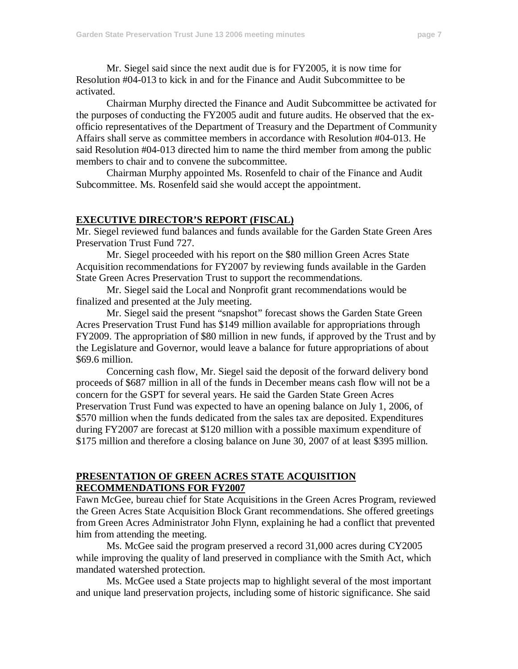Mr. Siegel said since the next audit due is for FY2005, it is now time for Resolution #04-013 to kick in and for the Finance and Audit Subcommittee to be activated.

Chairman Murphy directed the Finance and Audit Subcommittee be activated for the purposes of conducting the FY2005 audit and future audits. He observed that the exofficio representatives of the Department of Treasury and the Department of Community Affairs shall serve as committee members in accordance with Resolution #04-013. He said Resolution #04-013 directed him to name the third member from among the public members to chair and to convene the subcommittee.

Chairman Murphy appointed Ms. Rosenfeld to chair of the Finance and Audit Subcommittee. Ms. Rosenfeld said she would accept the appointment.

## **EXECUTIVE DIRECTOR'S REPORT (FISCAL)**

Mr. Siegel reviewed fund balances and funds available for the Garden State Green Ares Preservation Trust Fund 727.

Mr. Siegel proceeded with his report on the \$80 million Green Acres State Acquisition recommendations for FY2007 by reviewing funds available in the Garden State Green Acres Preservation Trust to support the recommendations.

Mr. Siegel said the Local and Nonprofit grant recommendations would be finalized and presented at the July meeting.

Mr. Siegel said the present "snapshot" forecast shows the Garden State Green Acres Preservation Trust Fund has \$149 million available for appropriations through FY2009. The appropriation of \$80 million in new funds, if approved by the Trust and by the Legislature and Governor, would leave a balance for future appropriations of about \$69.6 million.

Concerning cash flow, Mr. Siegel said the deposit of the forward delivery bond proceeds of \$687 million in all of the funds in December means cash flow will not be a concern for the GSPT for several years. He said the Garden State Green Acres Preservation Trust Fund was expected to have an opening balance on July 1, 2006, of \$570 million when the funds dedicated from the sales tax are deposited. Expenditures during FY2007 are forecast at \$120 million with a possible maximum expenditure of \$175 million and therefore a closing balance on June 30, 2007 of at least \$395 million.

#### **PRESENTATION OF GREEN ACRES STATE ACQUISITION RECOMMENDATIONS FOR FY2007**

Fawn McGee, bureau chief for State Acquisitions in the Green Acres Program, reviewed the Green Acres State Acquisition Block Grant recommendations. She offered greetings from Green Acres Administrator John Flynn, explaining he had a conflict that prevented him from attending the meeting.

Ms. McGee said the program preserved a record 31,000 acres during CY2005 while improving the quality of land preserved in compliance with the Smith Act, which mandated watershed protection.

Ms. McGee used a State projects map to highlight several of the most important and unique land preservation projects, including some of historic significance. She said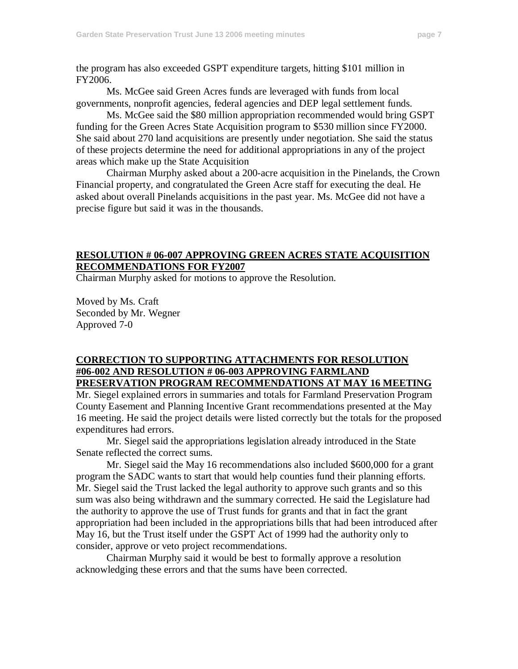the program has also exceeded GSPT expenditure targets, hitting \$101 million in FY2006.

Ms. McGee said Green Acres funds are leveraged with funds from local governments, nonprofit agencies, federal agencies and DEP legal settlement funds.

Ms. McGee said the \$80 million appropriation recommended would bring GSPT funding for the Green Acres State Acquisition program to \$530 million since FY2000. She said about 270 land acquisitions are presently under negotiation. She said the status of these projects determine the need for additional appropriations in any of the project areas which make up the State Acquisition

Chairman Murphy asked about a 200-acre acquisition in the Pinelands, the Crown Financial property, and congratulated the Green Acre staff for executing the deal. He asked about overall Pinelands acquisitions in the past year. Ms. McGee did not have a precise figure but said it was in the thousands.

#### **RESOLUTION # 06-007 APPROVING GREEN ACRES STATE ACQUISITION RECOMMENDATIONS FOR FY2007**

Chairman Murphy asked for motions to approve the Resolution.

Moved by Ms. Craft Seconded by Mr. Wegner Approved 7-0

### **CORRECTION TO SUPPORTING ATTACHMENTS FOR RESOLUTION #06-002 AND RESOLUTION # 06-003 APPROVING FARMLAND PRESERVATION PROGRAM RECOMMENDATIONS AT MAY 16 MEETING**

Mr. Siegel explained errors in summaries and totals for Farmland Preservation Program County Easement and Planning Incentive Grant recommendations presented at the May 16 meeting. He said the project details were listed correctly but the totals for the proposed expenditures had errors.

Mr. Siegel said the appropriations legislation already introduced in the State Senate reflected the correct sums.

Mr. Siegel said the May 16 recommendations also included \$600,000 for a grant program the SADC wants to start that would help counties fund their planning efforts. Mr. Siegel said the Trust lacked the legal authority to approve such grants and so this sum was also being withdrawn and the summary corrected. He said the Legislature had the authority to approve the use of Trust funds for grants and that in fact the grant appropriation had been included in the appropriations bills that had been introduced after May 16, but the Trust itself under the GSPT Act of 1999 had the authority only to consider, approve or veto project recommendations.

Chairman Murphy said it would be best to formally approve a resolution acknowledging these errors and that the sums have been corrected.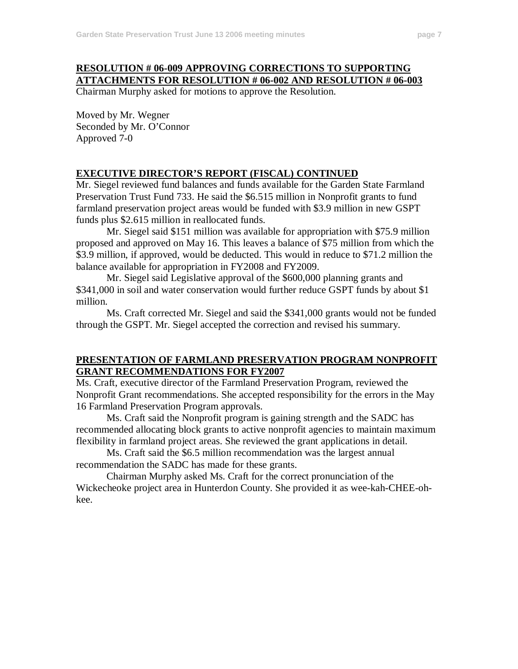## **RESOLUTION # 06-009 APPROVING CORRECTIONS TO SUPPORTING ATTACHMENTS FOR RESOLUTION # 06-002 AND RESOLUTION # 06-003**

Chairman Murphy asked for motions to approve the Resolution.

Moved by Mr. Wegner Seconded by Mr. O'Connor Approved 7-0

#### **EXECUTIVE DIRECTOR'S REPORT (FISCAL) CONTINUED**

Mr. Siegel reviewed fund balances and funds available for the Garden State Farmland Preservation Trust Fund 733. He said the \$6.515 million in Nonprofit grants to fund farmland preservation project areas would be funded with \$3.9 million in new GSPT funds plus \$2.615 million in reallocated funds.

Mr. Siegel said \$151 million was available for appropriation with \$75.9 million proposed and approved on May 16. This leaves a balance of \$75 million from which the \$3.9 million, if approved, would be deducted. This would in reduce to \$71.2 million the balance available for appropriation in FY2008 and FY2009.

Mr. Siegel said Legislative approval of the \$600,000 planning grants and \$341,000 in soil and water conservation would further reduce GSPT funds by about \$1 million.

Ms. Craft corrected Mr. Siegel and said the \$341,000 grants would not be funded through the GSPT. Mr. Siegel accepted the correction and revised his summary.

## **PRESENTATION OF FARMLAND PRESERVATION PROGRAM NONPROFIT GRANT RECOMMENDATIONS FOR FY2007**

Ms. Craft, executive director of the Farmland Preservation Program, reviewed the Nonprofit Grant recommendations. She accepted responsibility for the errors in the May 16 Farmland Preservation Program approvals.

Ms. Craft said the Nonprofit program is gaining strength and the SADC has recommended allocating block grants to active nonprofit agencies to maintain maximum flexibility in farmland project areas. She reviewed the grant applications in detail.

Ms. Craft said the \$6.5 million recommendation was the largest annual recommendation the SADC has made for these grants.

Chairman Murphy asked Ms. Craft for the correct pronunciation of the Wickecheoke project area in Hunterdon County. She provided it as wee-kah-CHEE-ohkee.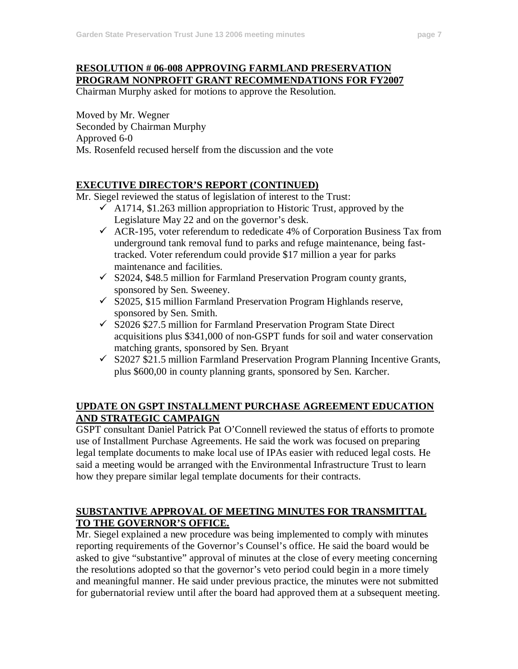# **RESOLUTION # 06-008 APPROVING FARMLAND PRESERVATION PROGRAM NONPROFIT GRANT RECOMMENDATIONS FOR FY2007**

Chairman Murphy asked for motions to approve the Resolution.

Moved by Mr. Wegner Seconded by Chairman Murphy Approved 6-0 Ms. Rosenfeld recused herself from the discussion and the vote

### **EXECUTIVE DIRECTOR'S REPORT (CONTINUED)**

Mr. Siegel reviewed the status of legislation of interest to the Trust:

- $\checkmark$  A1714, \$1.263 million appropriation to Historic Trust, approved by the Legislature May 22 and on the governor's desk.
- $\checkmark$  ACR-195, voter referendum to rededicate 4% of Corporation Business Tax from underground tank removal fund to parks and refuge maintenance, being fasttracked. Voter referendum could provide \$17 million a year for parks maintenance and facilities.
- $\checkmark$  S2024, \$48.5 million for Farmland Preservation Program county grants, sponsored by Sen. Sweeney.
- $\checkmark$  S2025, \$15 million Farmland Preservation Program Highlands reserve, sponsored by Sen. Smith.
- $\checkmark$  S2026 \$27.5 million for Farmland Preservation Program State Direct acquisitions plus \$341,000 of non-GSPT funds for soil and water conservation matching grants, sponsored by Sen. Bryant
- $\checkmark$  S2027 \$21.5 million Farmland Preservation Program Planning Incentive Grants, plus \$600,00 in county planning grants, sponsored by Sen. Karcher.

## **UPDATE ON GSPT INSTALLMENT PURCHASE AGREEMENT EDUCATION AND STRATEGIC CAMPAIGN**

GSPT consultant Daniel Patrick Pat O'Connell reviewed the status of efforts to promote use of Installment Purchase Agreements. He said the work was focused on preparing legal template documents to make local use of IPAs easier with reduced legal costs. He said a meeting would be arranged with the Environmental Infrastructure Trust to learn how they prepare similar legal template documents for their contracts.

# **SUBSTANTIVE APPROVAL OF MEETING MINUTES FOR TRANSMITTAL TO THE GOVERNOR'S OFFICE.**

Mr. Siegel explained a new procedure was being implemented to comply with minutes reporting requirements of the Governor's Counsel's office. He said the board would be asked to give "substantive" approval of minutes at the close of every meeting concerning the resolutions adopted so that the governor's veto period could begin in a more timely and meaningful manner. He said under previous practice, the minutes were not submitted for gubernatorial review until after the board had approved them at a subsequent meeting.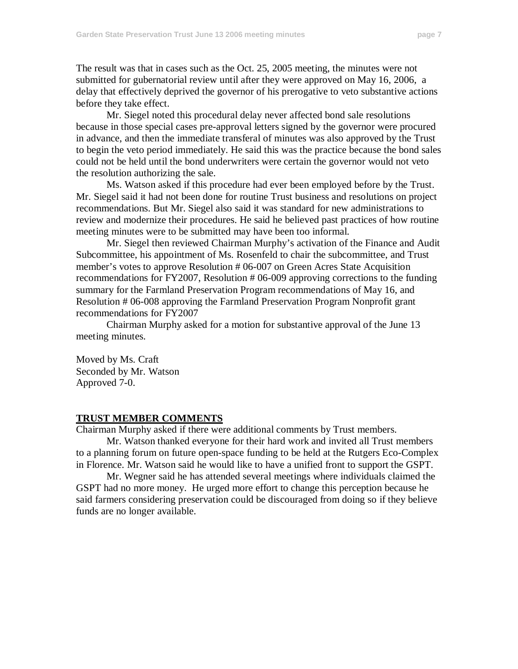The result was that in cases such as the Oct. 25, 2005 meeting, the minutes were not submitted for gubernatorial review until after they were approved on May 16, 2006, a delay that effectively deprived the governor of his prerogative to veto substantive actions before they take effect.

Mr. Siegel noted this procedural delay never affected bond sale resolutions because in those special cases pre-approval letters signed by the governor were procured in advance, and then the immediate transferal of minutes was also approved by the Trust to begin the veto period immediately. He said this was the practice because the bond sales could not be held until the bond underwriters were certain the governor would not veto the resolution authorizing the sale.

Ms. Watson asked if this procedure had ever been employed before by the Trust. Mr. Siegel said it had not been done for routine Trust business and resolutions on project recommendations. But Mr. Siegel also said it was standard for new administrations to review and modernize their procedures. He said he believed past practices of how routine meeting minutes were to be submitted may have been too informal.

Mr. Siegel then reviewed Chairman Murphy's activation of the Finance and Audit Subcommittee, his appointment of Ms. Rosenfeld to chair the subcommittee, and Trust member's votes to approve Resolution # 06-007 on Green Acres State Acquisition recommendations for FY2007, Resolution # 06-009 approving corrections to the funding summary for the Farmland Preservation Program recommendations of May 16, and Resolution # 06-008 approving the Farmland Preservation Program Nonprofit grant recommendations for FY2007

Chairman Murphy asked for a motion for substantive approval of the June 13 meeting minutes.

Moved by Ms. Craft Seconded by Mr. Watson Approved 7-0.

### **TRUST MEMBER COMMENTS**

Chairman Murphy asked if there were additional comments by Trust members.

Mr. Watson thanked everyone for their hard work and invited all Trust members to a planning forum on future open-space funding to be held at the Rutgers Eco-Complex in Florence. Mr. Watson said he would like to have a unified front to support the GSPT.

Mr. Wegner said he has attended several meetings where individuals claimed the GSPT had no more money. He urged more effort to change this perception because he said farmers considering preservation could be discouraged from doing so if they believe funds are no longer available.